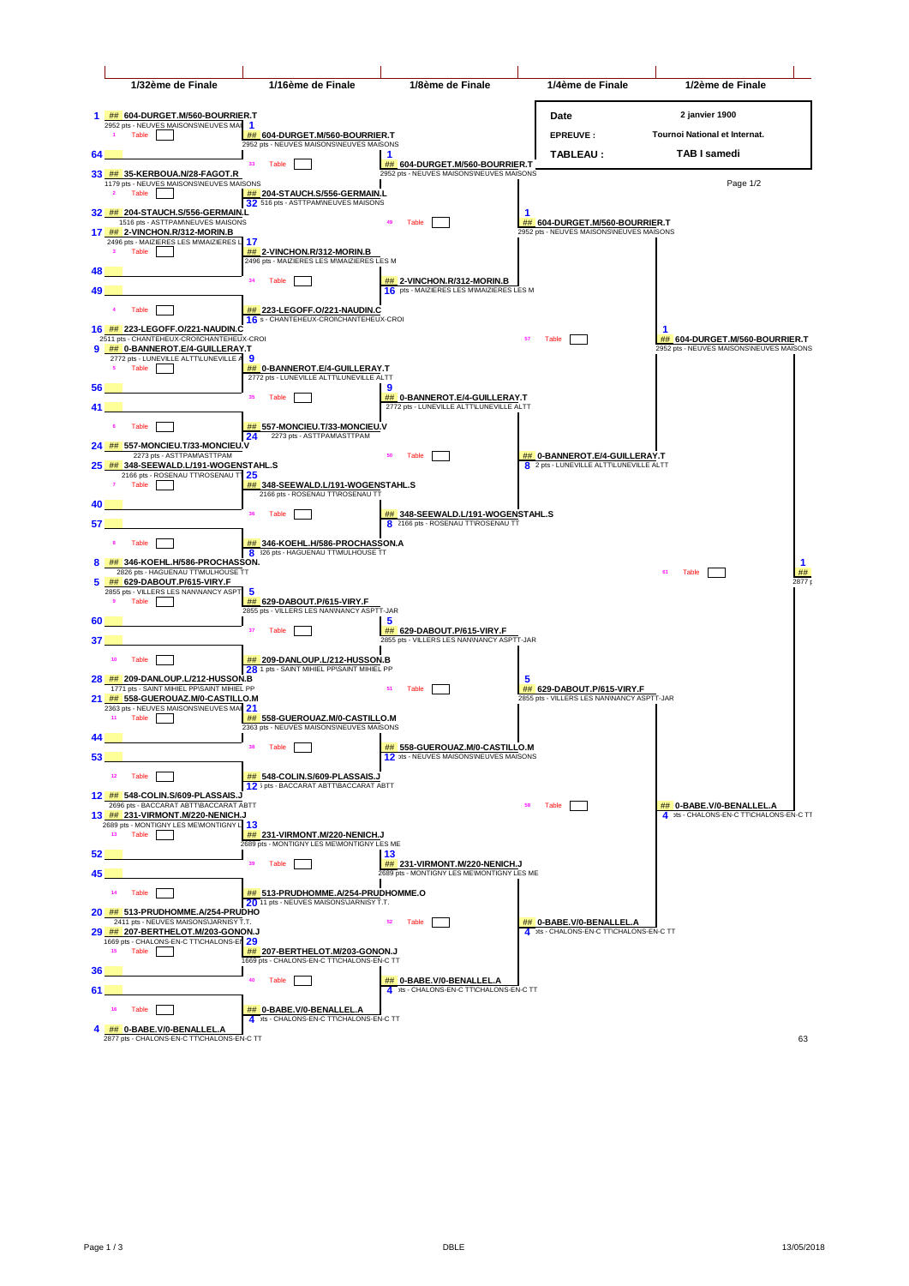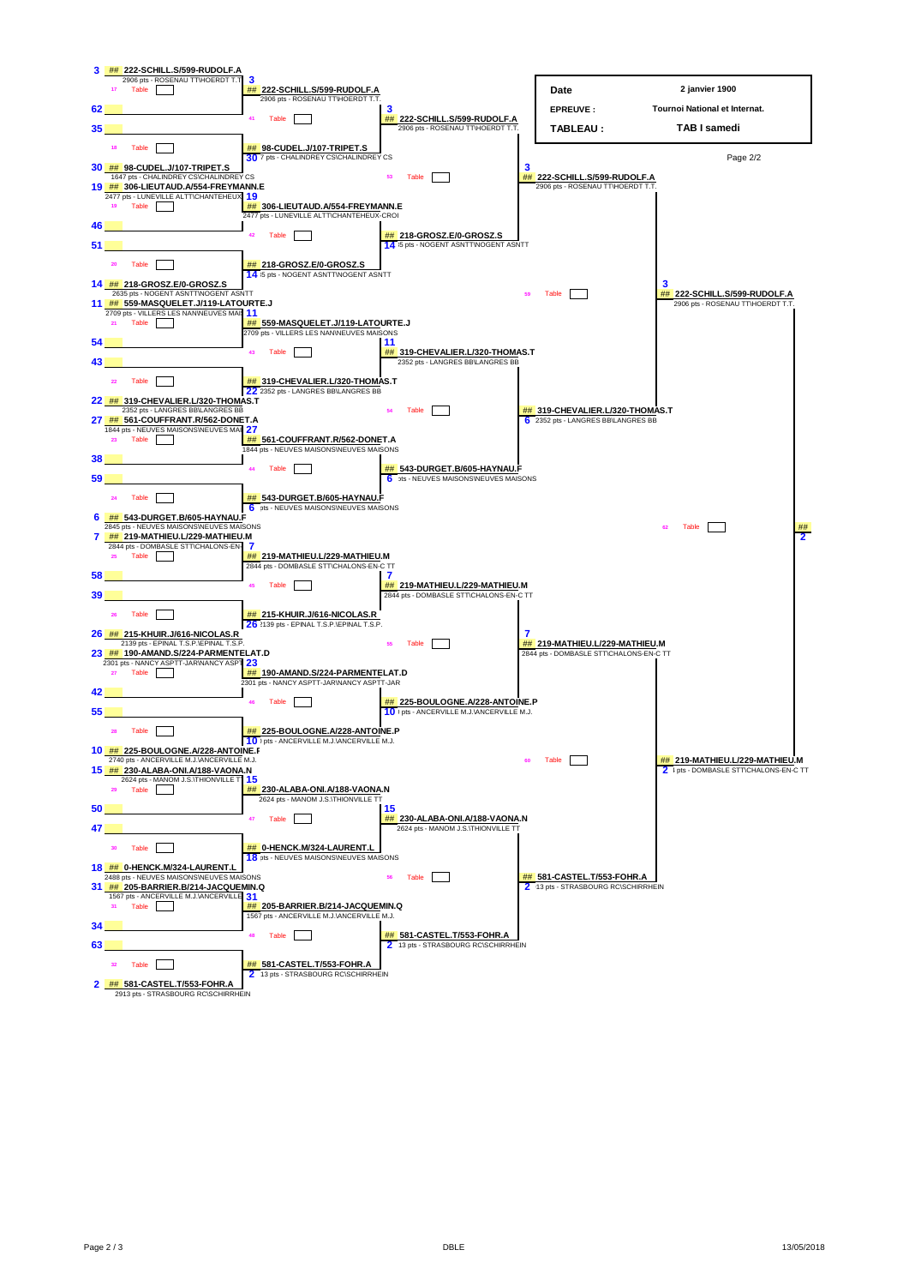